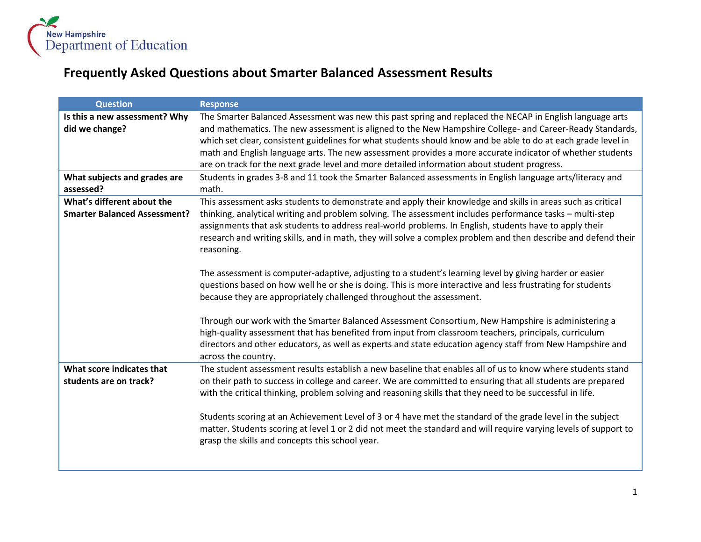

## **Frequently Asked Questions about Smarter Balanced Assessment Results**

| <b>Question</b>                                                   | <b>Response</b>                                                                                                                                                                                                                                                                                                                                                                                                                                                                                                                                                                                                                                                                                                                                                                                                                                                                                                                                                                   |
|-------------------------------------------------------------------|-----------------------------------------------------------------------------------------------------------------------------------------------------------------------------------------------------------------------------------------------------------------------------------------------------------------------------------------------------------------------------------------------------------------------------------------------------------------------------------------------------------------------------------------------------------------------------------------------------------------------------------------------------------------------------------------------------------------------------------------------------------------------------------------------------------------------------------------------------------------------------------------------------------------------------------------------------------------------------------|
| Is this a new assessment? Why<br>did we change?                   | The Smarter Balanced Assessment was new this past spring and replaced the NECAP in English language arts<br>and mathematics. The new assessment is aligned to the New Hampshire College- and Career-Ready Standards,<br>which set clear, consistent guidelines for what students should know and be able to do at each grade level in<br>math and English language arts. The new assessment provides a more accurate indicator of whether students<br>are on track for the next grade level and more detailed information about student progress.                                                                                                                                                                                                                                                                                                                                                                                                                                 |
| What subjects and grades are<br>assessed?                         | Students in grades 3-8 and 11 took the Smarter Balanced assessments in English language arts/literacy and<br>math.                                                                                                                                                                                                                                                                                                                                                                                                                                                                                                                                                                                                                                                                                                                                                                                                                                                                |
| What's different about the<br><b>Smarter Balanced Assessment?</b> | This assessment asks students to demonstrate and apply their knowledge and skills in areas such as critical<br>thinking, analytical writing and problem solving. The assessment includes performance tasks - multi-step<br>assignments that ask students to address real-world problems. In English, students have to apply their<br>research and writing skills, and in math, they will solve a complex problem and then describe and defend their<br>reasoning.<br>The assessment is computer-adaptive, adjusting to a student's learning level by giving harder or easier<br>questions based on how well he or she is doing. This is more interactive and less frustrating for students<br>because they are appropriately challenged throughout the assessment.<br>Through our work with the Smarter Balanced Assessment Consortium, New Hampshire is administering a<br>high-quality assessment that has benefited from input from classroom teachers, principals, curriculum |
|                                                                   | directors and other educators, as well as experts and state education agency staff from New Hampshire and<br>across the country.                                                                                                                                                                                                                                                                                                                                                                                                                                                                                                                                                                                                                                                                                                                                                                                                                                                  |
| What score indicates that<br>students are on track?               | The student assessment results establish a new baseline that enables all of us to know where students stand<br>on their path to success in college and career. We are committed to ensuring that all students are prepared<br>with the critical thinking, problem solving and reasoning skills that they need to be successful in life.<br>Students scoring at an Achievement Level of 3 or 4 have met the standard of the grade level in the subject<br>matter. Students scoring at level 1 or 2 did not meet the standard and will require varying levels of support to<br>grasp the skills and concepts this school year.                                                                                                                                                                                                                                                                                                                                                      |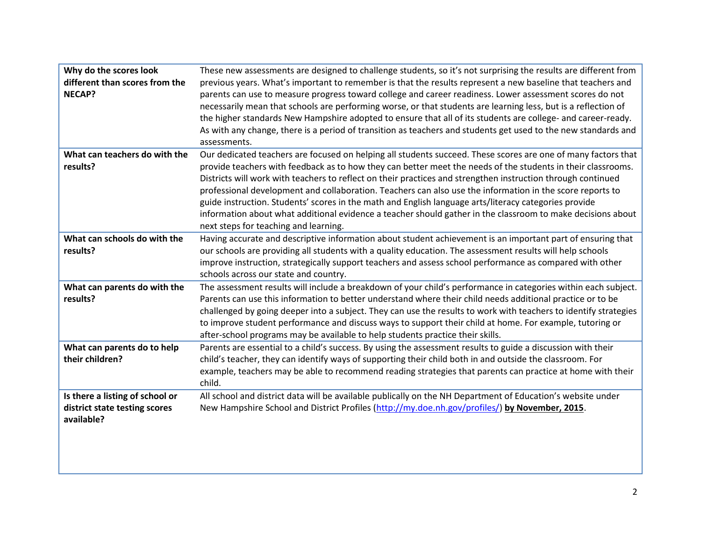| Why do the scores look<br>different than scores from the<br><b>NECAP?</b>      | These new assessments are designed to challenge students, so it's not surprising the results are different from<br>previous years. What's important to remember is that the results represent a new baseline that teachers and<br>parents can use to measure progress toward college and career readiness. Lower assessment scores do not<br>necessarily mean that schools are performing worse, or that students are learning less, but is a reflection of<br>the higher standards New Hampshire adopted to ensure that all of its students are college- and career-ready.<br>As with any change, there is a period of transition as teachers and students get used to the new standards and<br>assessments.               |
|--------------------------------------------------------------------------------|-----------------------------------------------------------------------------------------------------------------------------------------------------------------------------------------------------------------------------------------------------------------------------------------------------------------------------------------------------------------------------------------------------------------------------------------------------------------------------------------------------------------------------------------------------------------------------------------------------------------------------------------------------------------------------------------------------------------------------|
| What can teachers do with the<br>results?                                      | Our dedicated teachers are focused on helping all students succeed. These scores are one of many factors that<br>provide teachers with feedback as to how they can better meet the needs of the students in their classrooms.<br>Districts will work with teachers to reflect on their practices and strengthen instruction through continued<br>professional development and collaboration. Teachers can also use the information in the score reports to<br>guide instruction. Students' scores in the math and English language arts/literacy categories provide<br>information about what additional evidence a teacher should gather in the classroom to make decisions about<br>next steps for teaching and learning. |
| What can schools do with the<br>results?                                       | Having accurate and descriptive information about student achievement is an important part of ensuring that<br>our schools are providing all students with a quality education. The assessment results will help schools<br>improve instruction, strategically support teachers and assess school performance as compared with other<br>schools across our state and country.                                                                                                                                                                                                                                                                                                                                               |
| What can parents do with the<br>results?                                       | The assessment results will include a breakdown of your child's performance in categories within each subject.<br>Parents can use this information to better understand where their child needs additional practice or to be<br>challenged by going deeper into a subject. They can use the results to work with teachers to identify strategies<br>to improve student performance and discuss ways to support their child at home. For example, tutoring or<br>after-school programs may be available to help students practice their skills.                                                                                                                                                                              |
| What can parents do to help<br>their children?                                 | Parents are essential to a child's success. By using the assessment results to guide a discussion with their<br>child's teacher, they can identify ways of supporting their child both in and outside the classroom. For<br>example, teachers may be able to recommend reading strategies that parents can practice at home with their<br>child.                                                                                                                                                                                                                                                                                                                                                                            |
| Is there a listing of school or<br>district state testing scores<br>available? | All school and district data will be available publically on the NH Department of Education's website under<br>New Hampshire School and District Profiles (http://my.doe.nh.gov/profiles/) by November, 2015.                                                                                                                                                                                                                                                                                                                                                                                                                                                                                                               |